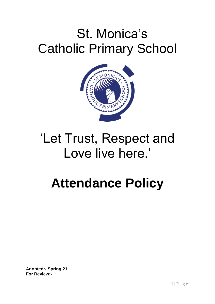# St. Monica's Catholic Primary School



# 'Let Trust, Respect and Love live here.'

# **Attendance Policy**

**Adopted:- Spring 21 For Review:-**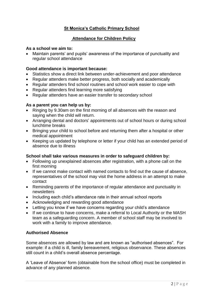# **St Monica's Catholic Primary School**

# **Attendance for Children Policy**

#### **As a school we aim to:**

 Maintain parents' and pupils' awareness of the importance of punctuality and regular school attendance

#### **Good attendance is important because:**

- Statistics show a direct link between under-achievement and poor attendance
- Regular attenders make better progress, both socially and academically
- Regular attenders find school routines and school work easier to cope with
- Regular attenders find learning more satisfying
- Regular attenders have an easier transfer to secondary school

### **As a parent you can help us by:**

- Ringing by 9.30am on the first morning of all absences with the reason and saying when the child will return.
- Arranging dental and doctors' appointments out of school hours or during school lunchtime breaks
- Bringing your child to school before and returning them after a hospital or other medical appointment
- Keeping us updated by telephone or letter if your child has an extended period of absence due to illness

#### **School shall take various measures in order to safeguard children by:**

- Following up unexplained absences after registration, with a phone call on the first morning
- If we cannot make contact with named contacts to find out the cause of absence, representatives of the school may visit the home address in an attempt to make contact
- Reminding parents of the importance of regular attendance and punctuality in newsletters
- Including each child's attendance rate in their annual school reports
- Acknowledging and rewarding good attendance
- Letting you know if we have concerns regarding your child's attendance
- If we continue to have concerns, make a referral to Local Authority or the MASH team as a safeguarding concern. A member of school staff may be involved to work with a family to improve attendance.

# **Authorised Absence**

Some absences are allowed by law and are known as "authorised absences". For example: if a child is ill, family bereavement, religious observance. These absences still count in a child's overall absence percentage.

A 'Leave of Absence' form (obtainable from the school office) must be completed in advance of any planned absence.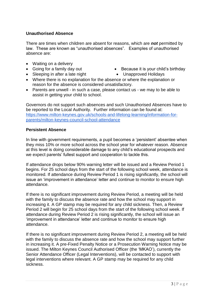## **Unauthorised Absence**

There are times when children are absent for reasons, which are *not* permitted by law. These are known as "unauthorised absences". Examples of unauthorised absence are:

- Waiting on a delivery
- 
- Sleeping in after a late night Unapproved Holidays
- Going for a family day out Because it is your child's birthday
	-
- Where there is no explanation for the absence or where the explanation or reason for the absence is considered unsatisfactory.
- Parents are unwell in such a case, please contact us we may to be able to assist in getting your child to school.

Governors do not support such absences and such Unauthorised Absences have to be reported to the Local Authority. Further information can be found at: [https://www.milton-keynes.gov.uk/schools-and-lifelong-learning/information-for](https://www.milton-keynes.gov.uk/schools-and-lifelong-learning/information-for-parents/milton-keynes-council-school-attendance)[parents/milton-keynes-council-school-attendance](https://www.milton-keynes.gov.uk/schools-and-lifelong-learning/information-for-parents/milton-keynes-council-school-attendance)

#### **Persistent Absence**

In line with government requirements, a pupil becomes a 'persistent' absentee when they miss 10% or more school across the school year for whatever reason. Absence at this level is doing considerable damage to any child's educational prospects and we expect parents' fullest support and cooperation to tackle this.

If attendance drops below 90% warning letter will be issued and a Review Period 1 begins. For 25 school days from the start of the following school week, attendance is monitored. If attendance during Review Period 1 is rising significantly, the school will issue an 'improvement in attendance' letter and continue to monitor to ensure high attendance.

If there is no significant improvement during Review Period, a meeting will be held with the family to discuss the absence rate and how the school may support in increasing it. A GP stamp may be required for any child sickness. Then, a Review Period 2 will begin for 25 school days from the start of the following school week. If attendance during Review Period 2 is rising significantly, the school will issue an 'improvement in attendance' letter and continue to monitor to ensure high attendance.

If there is no significant improvement during Review Period 2, a meeting will be held with the family to discuss the absence rate and how the school may support further in increasing it. A pre-Fixed Penalty Notice or a Prosecution Warning Notice may be issued. The Milton Keynes Council Authorised Officer (the 'MKAO'), currently the Senior Attendance Officer (Legal Interventions), will be contacted to support with legal interventions where relevant. A GP stamp may be required for any child sickness.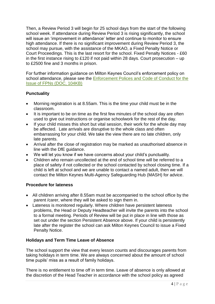Then, a Review Period 3 will begin for 25 school days from the start of the following school week. If attendance during Review Period 3 is rising significantly, the school will issue an 'improvement in attendance' letter and continue to monitor to ensure high attendance. If there is no significant improvement during Review Period 3, the school may pursue, with the assistance of the MKAO, a Fixed Penalty Notice or Court Proceedings. This is the last resort for the school. Fixed Penalty Notices - £60 in the first instance rising to £120 if not paid within 28 days. Court prosecution  $-$  up to £2500 fine and 3 months in prison.

For further information guidance on Milton Keynes Council's enforcement policy on school attendance, please see the Enforcement Polices and Code of Conduct for the [Issue of FPNs \(DOC, 104KB\)](https://www.milton-keynes.gov.uk/assets/attach/40689/Enforcement%20Procedures%20and%20Fixed%20Penalty%20Notices_October%202016.doc)

# **Punctuality**

- Morning registration is at 8.55am. This is the time your child must be in the classroom.
- It is important to be on time as the first few minutes of the school day are often used to give out instructions or organise schoolwork for the rest of the day.
- If your child misses this short but vital session, their work for the whole day may be affected. Late arrivals are disruptive to the whole class and often embarrassing for your child. We take the view there are no late children, only late parents.
- Arrival after the close of registration may be marked as unauthorised absence in line with the DfE guidance.
- We will let you know if we have concerns about your child's punctuality.
- Children who remain uncollected at the end of school time will be referred to a place of safety if not collected or the school contacted by school closing time. If a child is left at school and we are unable to contact a named adult, then we will contact the Milton Keynes Multi-Agency Safeguarding Hub (MASH) for advice.

# **Procedure for lateness**

- All children arriving after 8.55am must be accompanied to the school office by the parent /carer, where they will be asked to sign them in.
- Lateness is monitored regularly. Where children have persistent lateness problems, the Head or Deputy Headteacher will invite the parents into the school to a formal meeting. Periods of Review will be put in place in line with those as set out under the section Persistent Absence above. If your child is persistently late after the register the school can ask Milton Keynes Council to issue a Fixed Penalty Notice.

# **Holidays and Term Time Leave of Absence**

The school support the view that every lesson counts and discourages parents from taking holidays in term time. We are always concerned about the amount of school time pupils' miss as a result of family holidays.

There is no entitlement to time off in term time. Leave of absence is only allowed at the discretion of the Head Teacher in accordance with the school policy as agreed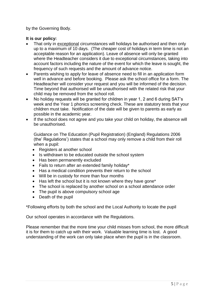by the Governing Body.

### **It is our policy:**

- That only in exceptional circumstances will holidays be authorised and then only up to a maximum of 10 days. (The cheaper cost of holidays in term time is not an acceptable reason for an application). Leave of absence will only be granted where the Headteacher considers it due to exceptional circumstances, taking into account factors including the nature of the event for which the leave is sought, the frequency of such requests and the amount of advance notice.
- Parents wishing to apply for leave of absence need to fill in an application form well in advance and before booking. Please ask the school office for a form. The Headteacher will consider your request and you will be informed of the decision. Time beyond that authorised will be unauthorised with the related risk that your child may be removed from the school roll.
- No holiday requests will be granted for children in year 1, 2 and 6 during SAT's week and the Year 1 phonics screening check. These are statutory tests that your children must take. Notification of the date will be given to parents as early as possible in the academic year.
- If the school does not agree and you take your child on holiday, the absence will be unauthorised.

Guidance on The Education (Pupil Registration) (England) Regulations 2006 (the' Regulations') states that a school may only remove a child from their roll when a pupil:

- Registers at another school
- Is withdrawn to be educated outside the school system
- Has been permanently excluded
- Fails to return after an extended family holiday\*
- Has a medical condition prevents their return to the school
- Will be in custody for more than four months
- Has left the school but it is not known where they have gone\*
- The school is replaced by another school on a school attendance order
- The pupil is above compulsory school age
- Death of the pupil

\*Following efforts by both the school and the Local Authority to locate the pupil

Our school operates in accordance with the Regulations.

Please remember that the more time your child misses from school, the more difficult it is for them to catch up with their work. Valuable learning time is lost. A good understanding of the work can only take place when the pupil is in the classroom.